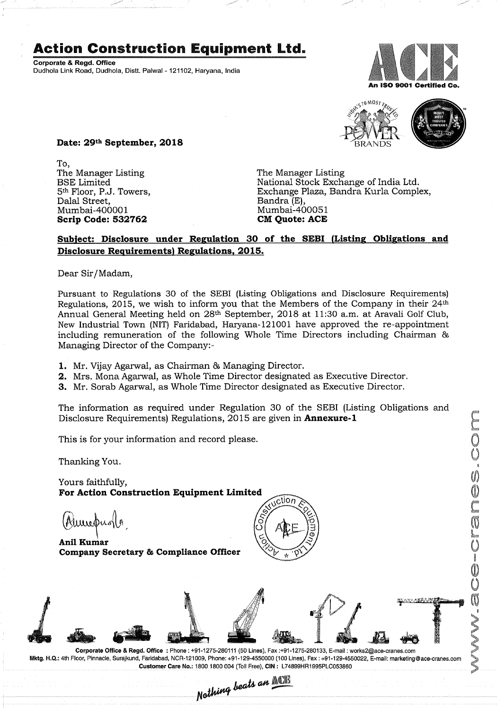## Action Construction Equipment Ltd.

Corporate & Regd. Office Dudhola Link Road, Dudhola, Distt. Palwai - 121102, Haryana, India





Date: 29th September, 2018

To, The Manager Listing The Manager Listing<br>BSE Limited The Mational Stock Excha Dalal Street, Bandra (E), Mumbai-400001 Mumbai-400051<br> **Scrip Code: 532762** CM Quote: ACE Scrip Code: 532762

BSE Limited National Stock Exchange of India Ltd. Exchange Plaza, Bandra Kurla Complex,<br>Bandra (E),

## Subject: Disclosure under Regulation 30 of the SEBI (Listing Obligations and Disclosure Requirements) Regulations, 2015.

Dear Sir/Madam,

Pursuant to Regulations 30 of the SEBI (Listing Obligations and Disclosure Requirements) Regulations, 2015, we wish to inform you that the Members of the Company in their 24th Annual General Meeting held on 28<sup>th</sup> September, 2018 at 11:30 a.m. at Aravali Golf Club, New Industrial Town (NIT) Faridabad, Haryana-121001 have approved the re-appointment including remuneration of the following Whole Time Directors including Chairman & Managing Director of the Company:—

1. Mr. Vijay Agarwal, as Chairman & Managing Director.

- 2. Mrs. Mona Agarwal, as Whole Time Director designated as Executive Director.
- 3. Mr. Sorab Agarwal, as Whole Time Director designated as Executive Director.

The information as required under Regulation 30 of the SEBI (Listing Obligations and Disclosure Requirements) Regulations, 2015 are given in Annexure-l

This is for your information and record please.

Thanking You.

Yours faithfully, For Action Construction Equipment Limited

 $\bigcup_{\text{power}} \bigcup_{\text{lower}}$ Company Secretary & Compliance Officer





Mktg. H.Q.: 4th Floor, Pinnacle, Surajkund, Faridabad, NCR-121009, Phone: +91-129-4550000 (100 Lines), Fax: +91-129-4550022, E-mail: marketing@ace-cranes.com Customer Care No.: 1800 1800 004 (Toll Free), CIN: L74899HR1995PLC053860<br>Nothing beats an **ACT** 

 $\sim$   $\omega$ flegger i den stad om . S®

 $\mathbf{v}$